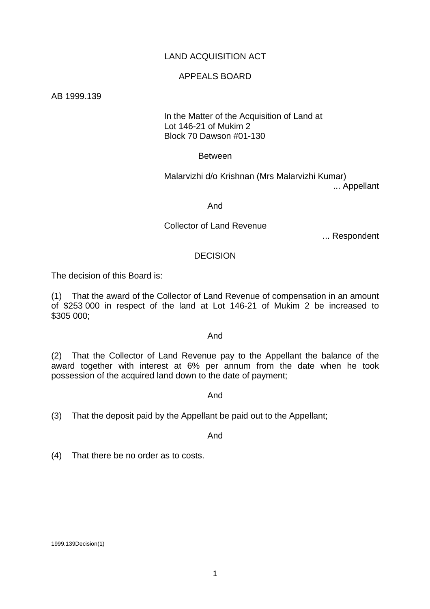# LAND ACQUISITION ACT

### APPEALS BOARD

AB 1999.139

### In the Matter of the Acquisition of Land at Lot 146-21 of Mukim 2 Block 70 Dawson #01-130

Between

 Malarvizhi d/o Krishnan (Mrs Malarvizhi Kumar) ... Appellant

And

## Collector of Land Revenue

... Respondent

## DECISION

The decision of this Board is:

(1) That the award of the Collector of Land Revenue of compensation in an amount of \$253 000 in respect of the land at Lot 146-21 of Mukim 2 be increased to \$305 000;

#### And

(2) That the Collector of Land Revenue pay to the Appellant the balance of the award together with interest at 6% per annum from the date when he took possession of the acquired land down to the date of payment;

And

(3) That the deposit paid by the Appellant be paid out to the Appellant;

And

(4) That there be no order as to costs.

1999.139Decision(1)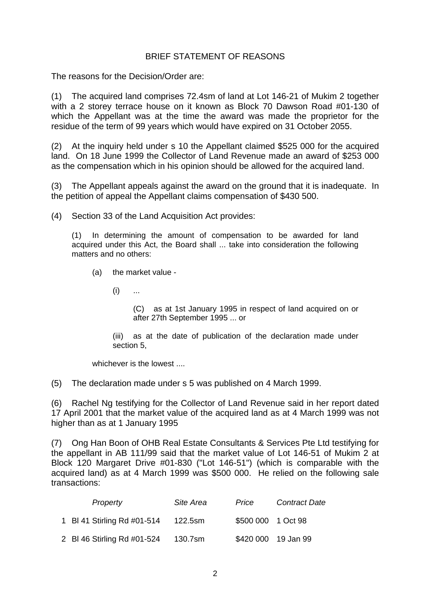# BRIEF STATEMENT OF REASONS

The reasons for the Decision/Order are:

(1) The acquired land comprises 72.4sm of land at Lot 146-21 of Mukim 2 together with a 2 storey terrace house on it known as Block 70 Dawson Road #01-130 of which the Appellant was at the time the award was made the proprietor for the residue of the term of 99 years which would have expired on 31 October 2055.

(2) At the inquiry held under s 10 the Appellant claimed \$525 000 for the acquired land. On 18 June 1999 the Collector of Land Revenue made an award of \$253 000 as the compensation which in his opinion should be allowed for the acquired land.

(3) The Appellant appeals against the award on the ground that it is inadequate. In the petition of appeal the Appellant claims compensation of \$430 500.

(4) Section 33 of the Land Acquisition Act provides:

(1) In determining the amount of compensation to be awarded for land acquired under this Act, the Board shall ... take into consideration the following matters and no others:

(a) the market value -

 $(i)$  ...

(C) as at 1st January 1995 in respect of land acquired on or after 27th September 1995 ... or

(iii) as at the date of publication of the declaration made under section 5,

whichever is the lowest ....

(5) The declaration made under s 5 was published on 4 March 1999.

(6) Rachel Ng testifying for the Collector of Land Revenue said in her report dated 17 April 2001 that the market value of the acquired land as at 4 March 1999 was not higher than as at 1 January 1995

(7) Ong Han Boon of OHB Real Estate Consultants & Services Pte Ltd testifying for the appellant in AB 111/99 said that the market value of Lot 146-51 of Mukim 2 at Block 120 Margaret Drive #01-830 ("Lot 146-51") (which is comparable with the acquired land) as at 4 March 1999 was \$500 000. He relied on the following sale transactions:

| Property                    | Site Area | Price              | <b>Contract Date</b> |
|-----------------------------|-----------|--------------------|----------------------|
| 1 BI 41 Stirling Rd #01-514 | 122.5sm   | \$500 000 1 Oct 98 |                      |
| 2 BI 46 Stirling Rd #01-524 | 130.7sm   |                    | \$420 000 19 Jan 99  |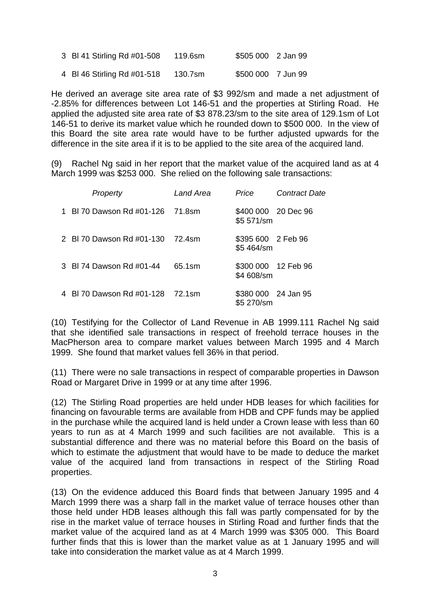| 3 BI 41 Stirling Rd #01-508 | 119.6sm | \$505 000 2 Jan 99 |  |
|-----------------------------|---------|--------------------|--|
| 4 BI 46 Stirling Rd #01-518 | 130.7sm | \$500 000 7 Jun 99 |  |

He derived an average site area rate of \$3 992/sm and made a net adjustment of -2.85% for differences between Lot 146-51 and the properties at Stirling Road. He applied the adjusted site area rate of \$3 878.23/sm to the site area of 129.1sm of Lot 146-51 to derive its market value which he rounded down to \$500 000. In the view of this Board the site area rate would have to be further adjusted upwards for the difference in the site area if it is to be applied to the site area of the acquired land.

(9) Rachel Ng said in her report that the market value of the acquired land as at 4 March 1999 was \$253 000. She relied on the following sale transactions:

| Property                         | Land Area | Price                             | <b>Contract Date</b> |
|----------------------------------|-----------|-----------------------------------|----------------------|
| 1 BI 70 Dawson Rd #01-126 71.8sm |           | \$400 000 20 Dec 96<br>\$5 571/sm |                      |
| 2 BI 70 Dawson Rd #01-130 72.4sm |           | \$395 600 2 Feb 96<br>\$5 464/sm  |                      |
| 3 BI 74 Dawson Rd #01-44         | 65.1sm    | \$300 000 12 Feb 96<br>\$4 608/sm |                      |
| 4 BI 70 Dawson Rd #01-128 72.1sm |           | \$380 000 24 Jan 95<br>\$5 270/sm |                      |

(10) Testifying for the Collector of Land Revenue in AB 1999.111 Rachel Ng said that she identified sale transactions in respect of freehold terrace houses in the MacPherson area to compare market values between March 1995 and 4 March 1999. She found that market values fell 36% in that period.

(11) There were no sale transactions in respect of comparable properties in Dawson Road or Margaret Drive in 1999 or at any time after 1996.

(12) The Stirling Road properties are held under HDB leases for which facilities for financing on favourable terms are available from HDB and CPF funds may be applied in the purchase while the acquired land is held under a Crown lease with less than 60 years to run as at 4 March 1999 and such facilities are not available. This is a substantial difference and there was no material before this Board on the basis of which to estimate the adjustment that would have to be made to deduce the market value of the acquired land from transactions in respect of the Stirling Road properties.

(13) On the evidence adduced this Board finds that between January 1995 and 4 March 1999 there was a sharp fall in the market value of terrace houses other than those held under HDB leases although this fall was partly compensated for by the rise in the market value of terrace houses in Stirling Road and further finds that the market value of the acquired land as at 4 March 1999 was \$305 000. This Board further finds that this is lower than the market value as at 1 January 1995 and will take into consideration the market value as at 4 March 1999.